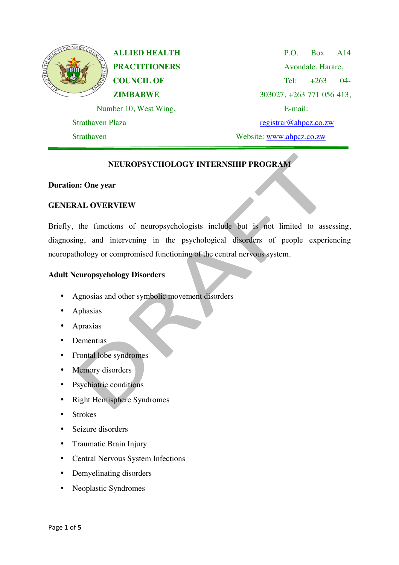

**ALLIED HEALTH PRACTITIONERS COUNCIL OF ZIMBABWE**

Number 10, West Wing,

Strathaven Plaza

Strathaven

P.O. Box A14 Avondale, Harare, Tel:  $+263$  04-303027, +263 771 056 413, E-mail: registrar@ahpcz.co.zw Website: www.ahpcz.co.zw

# **NEUROPSYCHOLOGY INTERNSHIP PROGRAM**

### **Duration: One year**

## **GENERAL OVERVIEW**

Briefly, the functions of neuropsychologists include but is not limited to assessing, diagnosing, and intervening in the psychological disorders of people experiencing neuropathology or compromised functioning of the central nervous system.

### **Adult Neuropsychology Disorders**

- Agnosias and other symbolic movement disorders
- **Aphasias**
- Apraxias
- Dementias
- Frontal lobe syndromes
- Memory disorders
- Psychiatric conditions
- Right Hemisphere Syndromes
- Strokes
- Seizure disorders
- Traumatic Brain Injury
- Central Nervous System Infections
- Demyelinating disorders
- Neoplastic Syndromes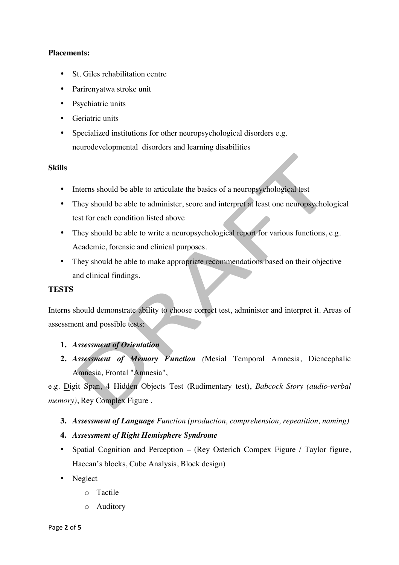### **Placements:**

- St. Giles rehabilitation centre
- Parirenyatwa stroke unit
- Psychiatric units
- Geriatric units
- Specialized institutions for other neuropsychological disorders e.g. neurodevelopmental disorders and learning disabilities

### **Skills**

- Interns should be able to articulate the basics of a neuropsychological test
- They should be able to administer, score and interpret at least one neuropsychological test for each condition listed above
- They should be able to write a neuropsychological report for various functions, e.g. Academic, forensic and clinical purposes.
- They should be able to make appropriate recommendations based on their objective and clinical findings.

### **TESTS**

Interns should demonstrate ability to choose correct test, administer and interpret it. Areas of assessment and possible tests:

## **1.** *Assessment of Orientation*

**2.** *Assessment of Memory Function (*Mesial Temporal Amnesia, Diencephalic Amnesia, Frontal "Amnesia",

e.g. Digit Span, 4 Hidden Objects Test (Rudimentary test), *Babcock Story (audio-verbal memory)*, Rey Complex Figure *.*

## **3.** *Assessment of Language Function (production, comprehension, repeatition, naming)*

- **4.** *Assessment of Right Hemisphere Syndrome*
- Spatial Cognition and Perception (Rey Osterich Compex Figure / Taylor figure, Haecan's blocks, Cube Analysis, Block design)
- Neglect
	- o Tactile
	- o Auditory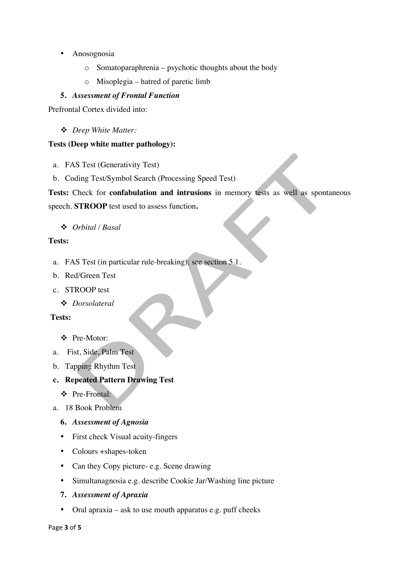- Anosognosia
	- o Somatoparaphrenia psychotic thoughts about the body
	- o Misoplegia hatred of paretic limb

## **5.** *Assessment of Frontal Function*

Prefrontal Cortex divided into:

v *Deep White Matter:*

## **Tests (Deep white matter pathology):**

- a. FAS Test (Generativity Test)
- b. Coding Test/Symbol Search (Processing Speed Test)

**Tests:** Check for **confabulation and intrusions** in memory tests as well as spontaneous

speech. **STROOP** test used to assess function**.**

## v *Orbital / Basal*

## **Tests:**

- a. FAS Test (in particular rule-breaking); see section 5.1.
- b. Red/Green Test
- c. STROOP test
	- v *Dorsolateral*

### **Tests:**

## v Pre-Motor:

- a. Fist, Side, Palm Test
- b. Tapping Rhythm Test
- **c. Repeated Pattern Drawing Test**
	- v Pre-Frontal:
- a. 18 Book Problem
	- **6.** *Assessment of Agnosia*
	- First check Visual acuity-fingers
	- Colours +shapes-token
	- Can they Copy picture- e.g. Scene drawing
	- Simultanagnosia e.g. describe Cookie Jar/Washing line picture

### **7.** *Assessment of Apraxia*

• Oral apraxia – ask to use mouth apparatus e.g. puff cheeks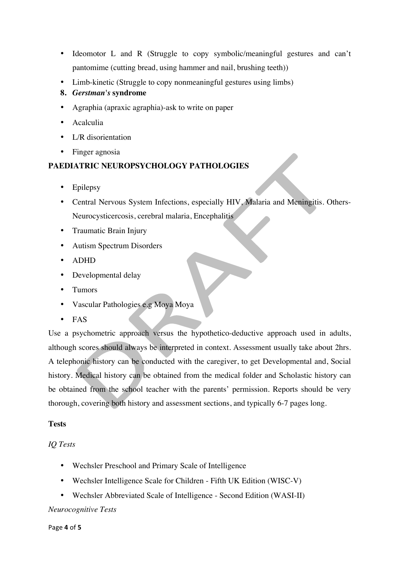- Ideomotor L and R (Struggle to copy symbolic/meaningful gestures and can't pantomime (cutting bread, using hammer and nail, brushing teeth))
- Limb-kinetic (Struggle to copy nonmeaningful gestures using limbs)
- **8.** *Gerstman's* **syndrome**
- Agraphia (apraxic agraphia)-ask to write on paper
- Acalculia
- L/R disorientation
- Finger agnosia

### **PAEDIATRIC NEUROPSYCHOLOGY PATHOLOGIES**

- **Epilepsy**
- Central Nervous System Infections, especially HIV, Malaria and Meningitis. Others-Neurocysticercosis, cerebral malaria, Encephalitis
- Traumatic Brain Injury
- Autism Spectrum Disorders
- ADHD
- Developmental delay
- Tumors
- Vascular Pathologies e.g Moya Moya
- FAS

Use a psychometric approach versus the hypothetico-deductive approach used in adults, although scores should always be interpreted in context. Assessment usually take about 2hrs. A telephonic history can be conducted with the caregiver, to get Developmental and, Social history. Medical history can be obtained from the medical folder and Scholastic history can be obtained from the school teacher with the parents' permission. Reports should be very thorough, covering both history and assessment sections, and typically 6-7 pages long.

### **Tests**

### *IQ Tests*

- Wechsler Preschool and Primary Scale of Intelligence
- Wechsler Intelligence Scale for Children Fifth UK Edition (WISC-V)
- Wechsler Abbreviated Scale of Intelligence Second Edition (WASI-II)

#### *Neurocognitive Tests*